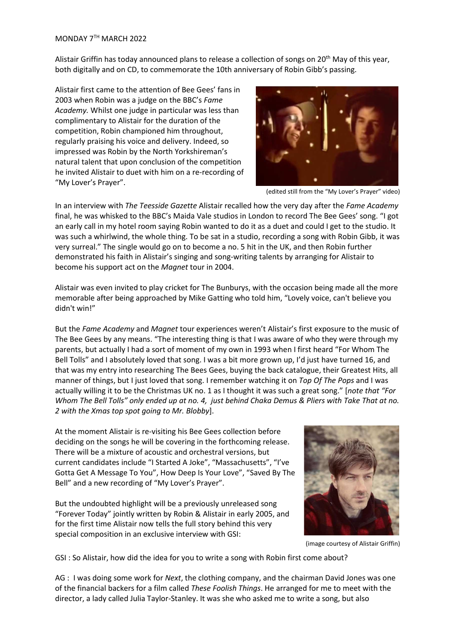Alistair Griffin has today announced plans to release a collection of songs on 20<sup>th</sup> May of this year, both digitally and on CD, to commemorate the 10th anniversary of Robin Gibb's passing.

Alistair first came to the attention of Bee Gees' fans in 2003 when Robin was a judge on the BBC's *Fame Academy.* Whilst one judge in particular was less than complimentary to Alistair for the duration of the competition, Robin championed him throughout, regularly praising his voice and delivery. Indeed, so impressed was Robin by the North Yorkshireman's natural talent that upon conclusion of the competition he invited Alistair to duet with him on a re-recording of "My Lover's Prayer".



(edited still from the "My Lover's Prayer" video)

In an interview with *The Teesside Gazette* Alistair recalled how the very day after the *Fame Academy* final, he was whisked to the BBC's Maida Vale studios in London to record The Bee Gees' song. "I got an early call in my hotel room saying Robin wanted to do it as a duet and could I get to the studio. It was such a whirlwind, the whole thing. To be sat in a studio, recording a song with Robin Gibb, it was very surreal." The single would go on to become a no. 5 hit in the UK, and then Robin further demonstrated his faith in Alistair's singing and song-writing talents by arranging for Alistair to become his support act on the *Magnet* tour in 2004.

Alistair was even invited to play cricket for The Bunburys, with the occasion being made all the more memorable after being approached by Mike Gatting who told him, "Lovely voice, can't believe you didn't win!"

But the *Fame Academy* and *Magnet* tour experiences weren't Alistair's first exposure to the music of The Bee Gees by any means. "The interesting thing is that I was aware of who they were through my parents, but actually I had a sort of moment of my own in 1993 when I first heard "For Whom The Bell Tolls" and I absolutely loved that song. I was a bit more grown up, I'd just have turned 16, and that was my entry into researching The Bees Gees, buying the back catalogue, their Greatest Hits, all manner of things, but I just loved that song. I remember watching it on *Top Of The Pops* and I was actually willing it to be the Christmas UK no. 1 as I thought it was such a great song." [*note that "For Whom The Bell Tolls" only ended up at no. 4, just behind Chaka Demus & Pliers with Take That at no. 2 with the Xmas top spot going to Mr. Blobby*].

At the moment Alistair is re-visiting his Bee Gees collection before deciding on the songs he will be covering in the forthcoming release. There will be a mixture of acoustic and orchestral versions, but current candidates include "I Started A Joke", "Massachusetts", "I've Gotta Get A Message To You", How Deep Is Your Love", "Saved By The Bell" and a new recording of "My Lover's Prayer".

But the undoubted highlight will be a previously unreleased song "Forever Today" jointly written by Robin & Alistair in early 2005, and for the first time Alistair now tells the full story behind this very special composition in an exclusive interview with GSI:



(image courtesy of Alistair Griffin)

GSI : So Alistair, how did the idea for you to write a song with Robin first come about?

AG : I was doing some work for *Next*, the clothing company, and the chairman David Jones was one of the financial backers for a film called *These Foolish Things*. He arranged for me to meet with the director, a lady called Julia Taylor-Stanley. It was she who asked me to write a song, but also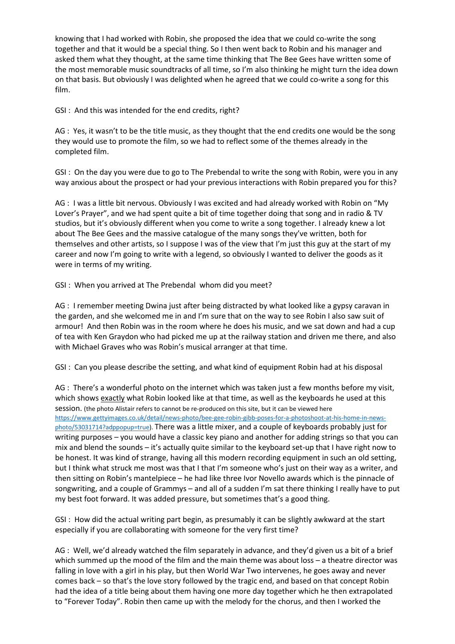knowing that I had worked with Robin, she proposed the idea that we could co-write the song together and that it would be a special thing. So I then went back to Robin and his manager and asked them what they thought, at the same time thinking that The Bee Gees have written some of the most memorable music soundtracks of all time, so I'm also thinking he might turn the idea down on that basis. But obviously I was delighted when he agreed that we could co-write a song for this film.

GSI : And this was intended for the end credits, right?

AG : Yes, it wasn't to be the title music, as they thought that the end credits one would be the song they would use to promote the film, so we had to reflect some of the themes already in the completed film.

GSI : On the day you were due to go to The Prebendal to write the song with Robin, were you in any way anxious about the prospect or had your previous interactions with Robin prepared you for this?

AG : I was a little bit nervous. Obviously I was excited and had already worked with Robin on "My Lover's Prayer", and we had spent quite a bit of time together doing that song and in radio & TV studios, but it's obviously different when you come to write a song together. I already knew a lot about The Bee Gees and the massive catalogue of the many songs they've written, both for themselves and other artists, so I suppose I was of the view that I'm just this guy at the start of my career and now I'm going to write with a legend, so obviously I wanted to deliver the goods as it were in terms of my writing.

GSI : When you arrived at The Prebendal whom did you meet?

AG : I remember meeting Dwina just after being distracted by what looked like a gypsy caravan in the garden, and she welcomed me in and I'm sure that on the way to see Robin I also saw suit of armour! And then Robin was in the room where he does his music, and we sat down and had a cup of tea with Ken Graydon who had picked me up at the railway station and driven me there, and also with Michael Graves who was Robin's musical arranger at that time.

GSI : Can you please describe the setting, and what kind of equipment Robin had at his disposal

AG : There's a wonderful photo on the internet which was taken just a few months before my visit, which shows exactly what Robin looked like at that time, as well as the keyboards he used at this session. (the photo Alistair refers to cannot be re-produced on this site, but it can be viewed here https://www.gettyimages.co.uk/detail/news-photo/bee-gee-robin-gibb-poses-for-a-photoshoot-at-his-home-in-newsphoto/53031714?adppopup=true). There was a little mixer, and a couple of keyboards probably just for writing purposes – you would have a classic key piano and another for adding strings so that you can mix and blend the sounds – it's actually quite similar to the keyboard set-up that I have right now to be honest. It was kind of strange, having all this modern recording equipment in such an old setting, but I think what struck me most was that I that I'm someone who's just on their way as a writer, and then sitting on Robin's mantelpiece – he had like three Ivor Novello awards which is the pinnacle of songwriting, and a couple of Grammys – and all of a sudden I'm sat there thinking I really have to put my best foot forward. It was added pressure, but sometimes that's a good thing.

GSI : How did the actual writing part begin, as presumably it can be slightly awkward at the start especially if you are collaborating with someone for the very first time?

AG : Well, we'd already watched the film separately in advance, and they'd given us a bit of a brief which summed up the mood of the film and the main theme was about loss – a theatre director was falling in love with a girl in his play, but then World War Two intervenes, he goes away and never comes back – so that's the love story followed by the tragic end, and based on that concept Robin had the idea of a title being about them having one more day together which he then extrapolated to "Forever Today". Robin then came up with the melody for the chorus, and then I worked the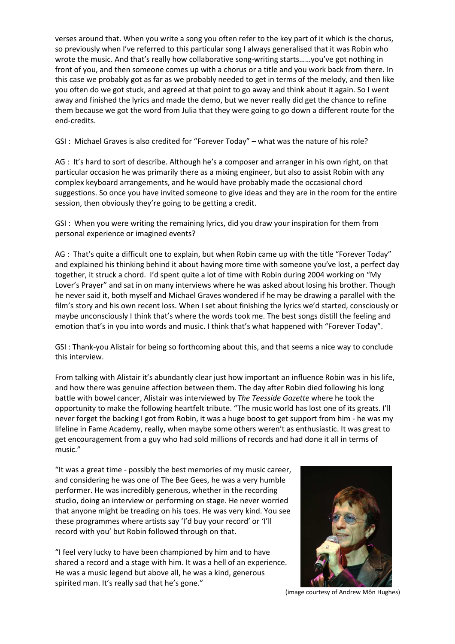verses around that. When you write a song you often refer to the key part of it which is the chorus, so previously when I've referred to this particular song I always generalised that it was Robin who wrote the music. And that's really how collaborative song-writing starts……you've got nothing in front of you, and then someone comes up with a chorus or a title and you work back from there. In this case we probably got as far as we probably needed to get in terms of the melody, and then like you often do we got stuck, and agreed at that point to go away and think about it again. So I went away and finished the lyrics and made the demo, but we never really did get the chance to refine them because we got the word from Julia that they were going to go down a different route for the end-credits.

GSI : Michael Graves is also credited for "Forever Today" – what was the nature of his role?

AG : It's hard to sort of describe. Although he's a composer and arranger in his own right, on that particular occasion he was primarily there as a mixing engineer, but also to assist Robin with any complex keyboard arrangements, and he would have probably made the occasional chord suggestions. So once you have invited someone to give ideas and they are in the room for the entire session, then obviously they're going to be getting a credit.

GSI : When you were writing the remaining lyrics, did you draw your inspiration for them from personal experience or imagined events?

AG : That's quite a difficult one to explain, but when Robin came up with the title "Forever Today" and explained his thinking behind it about having more time with someone you've lost, a perfect day together, it struck a chord. I'd spent quite a lot of time with Robin during 2004 working on "My Lover's Prayer" and sat in on many interviews where he was asked about losing his brother. Though he never said it, both myself and Michael Graves wondered if he may be drawing a parallel with the film's story and his own recent loss. When I set about finishing the lyrics we'd started, consciously or maybe unconsciously I think that's where the words took me. The best songs distill the feeling and emotion that's in you into words and music. I think that's what happened with "Forever Today".

GSI : Thank-you Alistair for being so forthcoming about this, and that seems a nice way to conclude this interview.

From talking with Alistair it's abundantly clear just how important an influence Robin was in his life, and how there was genuine affection between them. The day after Robin died following his long battle with bowel cancer, Alistair was interviewed by *The Teesside Gazette* where he took the opportunity to make the following heartfelt tribute. "The music world has lost one of its greats. I'll never forget the backing I got from Robin, it was a huge boost to get support from him - he was my lifeline in Fame Academy, really, when maybe some others weren't as enthusiastic. It was great to get encouragement from a guy who had sold millions of records and had done it all in terms of music."

"It was a great time - possibly the best memories of my music career, and considering he was one of The Bee Gees, he was a very humble performer. He was incredibly generous, whether in the recording studio, doing an interview or performing on stage. He never worried that anyone might be treading on his toes. He was very kind. You see these programmes where artists say 'I'd buy your record' or 'I'll record with you' but Robin followed through on that.

"I feel very lucky to have been championed by him and to have shared a record and a stage with him. It was a hell of an experience. He was a music legend but above all, he was a kind, generous spirited man. It's really sad that he's gone."



(image courtesy of Andrew Môn Hughes)